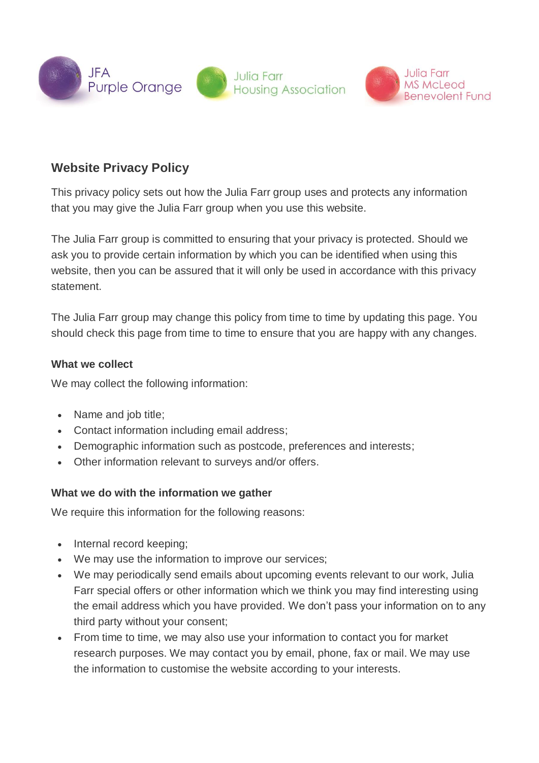

# **Website Privacy Policy**

This privacy policy sets out how the Julia Farr group uses and protects any information that you may give the Julia Farr group when you use this website.

The Julia Farr group is committed to ensuring that your privacy is protected. Should we ask you to provide certain information by which you can be identified when using this website, then you can be assured that it will only be used in accordance with this privacy statement.

The Julia Farr group may change this policy from time to time by updating this page. You should check this page from time to time to ensure that you are happy with any changes.

#### **What we collect**

We may collect the following information:

- Name and job title;
- Contact information including email address;
- Demographic information such as postcode, preferences and interests;
- Other information relevant to surveys and/or offers.

#### **What we do with the information we gather**

We require this information for the following reasons:

- Internal record keeping;
- We may use the information to improve our services;
- We may periodically send emails about upcoming events relevant to our work, Julia Farr special offers or other information which we think you may find interesting using the email address which you have provided. We don't pass your information on to any third party without your consent;
- From time to time, we may also use your information to contact you for market research purposes. We may contact you by email, phone, fax or mail. We may use the information to customise the website according to your interests.